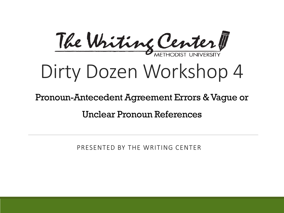

## Dirty Dozen Workshop 4

#### Pronoun-Antecedent Agreement Errors & Vague or

Unclear Pronoun References

PRESENTED BY THE WRITING CENTER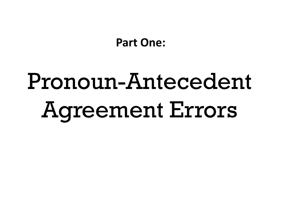**Part One:**

# Pronoun-Antecedent Agreement Errors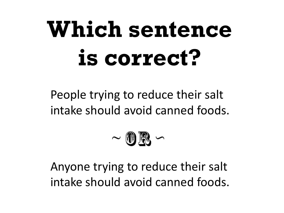## **Which sentence is correct?**

People trying to reduce their salt intake should avoid canned foods.



Anyone trying to reduce their salt intake should avoid canned foods.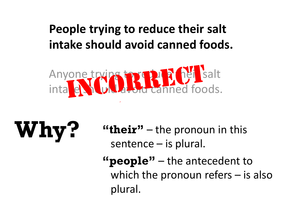### **People trying to reduce their salt intake should avoid canned foods.**



# **Why?**

**"their"** – the pronoun in this sentence – is plural.

**"people"** – the antecedent to which the pronoun refers – is also plural.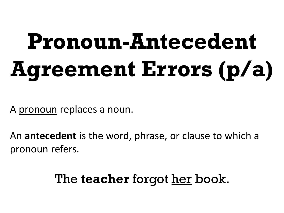# **Pronoun-Antecedent Agreement Errors (p/a)**

A pronoun replaces a noun.

An **antecedent** is the word, phrase, or clause to which a pronoun refers.

### The **teacher** forgot her book.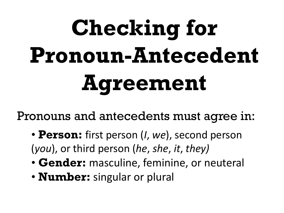# **Checking for Pronoun-Antecedent Agreement**

Pronouns and antecedents must agree in:

- **Person:** first person (*I*, *we*), second person (*you*), or third person (*he*, *she*, *it*, *they)*
- **Gender:** masculine, feminine, or neuteral
- **Number:** singular or plural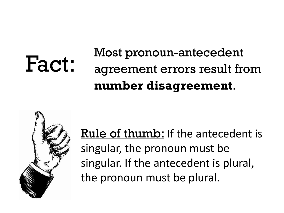#### Most pronoun-antecedent agreement errors result from **number disagreement**. Fact:



Rule of thumb: If the antecedent is singular, the pronoun must be singular. If the antecedent is plural, the pronoun must be plural.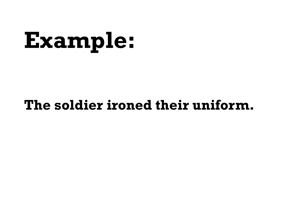## **Example:**

### **The soldier ironed their uniform.**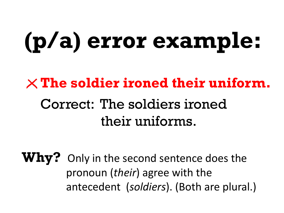## **(p/a) error example:**

### **The soldier ironed their uniform.** Correct: The soldiers ironed their uniforms.

**Why?** Only in the second sentence does the pronoun (*their*) agree with the antecedent (*soldiers*). (Both are plural.)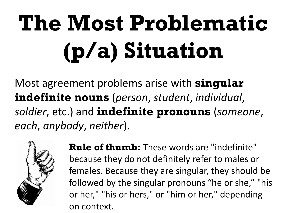# **The Most Problematic (p/a) Situation**

Most agreement problems arise with **singular indefinite nouns** (*person*, *student*, *individual*, *soldier*, etc.) and **indefinite pronouns** (*someone*, *each*, *anybody*, *neither*).



**Rule of thumb:** These words are "indefinite" because they do not definitely refer to males or females. Because they are singular, they should be followed by the singular pronouns "he or she," "his or her," "his or hers," or "him or her," depending on context.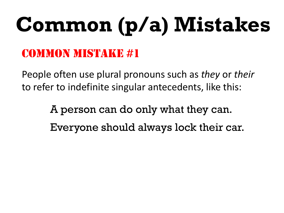# **Common (p/a) Mistakes**

### Common Mistake #1

People often use plural pronouns such as *they* or *their* to refer to indefinite singular antecedents, like this:

> A person can do only what they can. Everyone should always lock their car.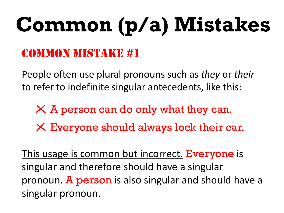# **Common (p/a) Mistakes**

### Common Mistake #1

People often use plural pronouns such as *they* or *their* to refer to indefinite singular antecedents, like this:

 $\times$  A person can do only what they can.  $\times$  Everyone should always lock their car.

This usage is common but incorrect. Everyone is singular and therefore should have a singular pronoun. A person is also singular and should have a singular pronoun.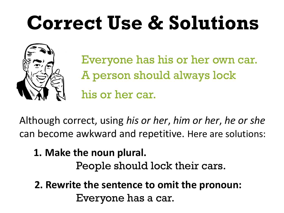## **Correct Use & Solutions**



Everyone has his or her own car. A person should always lock his or her car.

Although correct, using *his or her*, *him or her*, *he or she* can become awkward and repetitive. Here are solutions:

### **1. Make the noun plural.**

People should lock their cars.

**2. Rewrite the sentence to omit the pronoun:** Everyone has a car.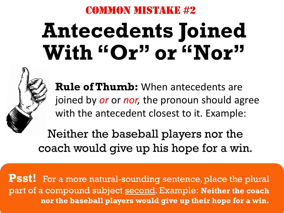#### Common Mistake #2

## **Antecedents Joined**  With "Or" or "Nor"



**Rule of Thumb:** When antecedents are joined by *or* or *nor,* the pronoun should agree with the antecedent closest to it. Example:

Neither the baseball players nor the coach would give up his hope for a win.

**Psst!** For a more natural-sounding sentence, place the plural part of a compound subject second. Example: **Neither the coach nor the baseball players would give up their hope for a win.**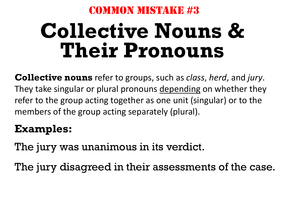#### Common Mistake #3

## **Collective Nouns & Their Pronouns**

**Collective nouns** refer to groups, such as *class*, *herd*, and *jury*. They take singular or plural pronouns depending on whether they refer to the group acting together as one unit (singular) or to the members of the group acting separately (plural).

#### **Examples:**

The jury was unanimous in its verdict.

The jury disagreed in their assessments of the case.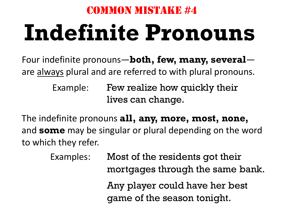## Common Mistake #4 **Indefinite Pronouns**

Four indefinite pronouns—**both, few, many, several** are always plural and are referred to with plural pronouns.

> Example: Few realize how quickly their lives can change.

The indefinite pronouns **all, any, more, most, none,** and **some** may be singular or plural depending on the word to which they refer.

> Examples: Most of the residents got their mortgages through the same bank. Any player could have her best game of the season tonight.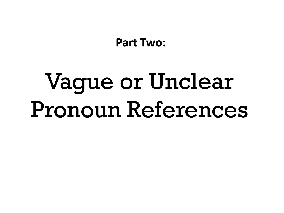**Part Two:**

## Vague or Unclear Pronoun References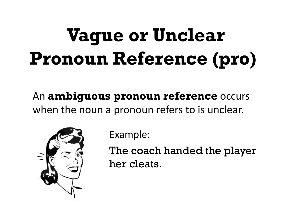## **Vague or Unclear Pronoun Reference (pro)**

An **ambiguous pronoun reference** occurs when the noun a pronoun refers to is unclear.



Example:

The coach handed the player her cleats.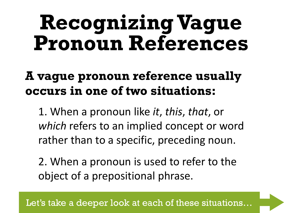## **Recognizing Vague Pronoun References**

### **A vague pronoun reference usually occurs in one of two situations:**

1. When a pronoun like *it*, *this*, *that*, or *which* refers to an implied concept or word rather than to a specific, preceding noun.

2. When a pronoun is used to refer to the object of a prepositional phrase.

Let's take a deeper look at each of these situations…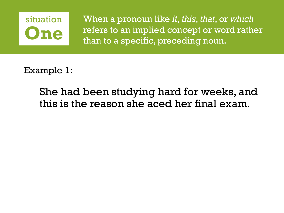

When a pronoun like *it*, *this*, *that*, or *which* refers to an implied concept or word rather than to a specific, preceding noun.

Example 1:

She had been studying hard for weeks, and this is the reason she aced her final exam.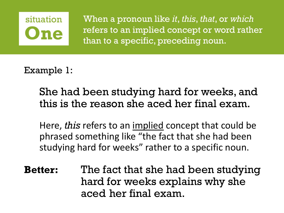### situation **One**

When a pronoun like *it*, *this*, *that*, or *which* refers to an implied concept or word rather than to a specific, preceding noun.

Example 1:

She had been studying hard for weeks, and this is the reason she aced her final exam.

Here, *this* refers to an implied concept that could be phrased something like "the fact that she had been studying hard for weeks" rather to a specific noun.

**Better:** The fact that she had been studying hard for weeks explains why she aced her final exam.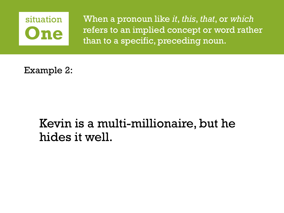

When a pronoun like *it*, *this*, *that*, or *which* refers to an implied concept or word rather than to a specific, preceding noun.

Example 2:

### Kevin is a multi-millionaire, but he hides it well.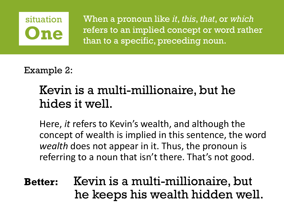### situation **One**

When a pronoun like *it*, *this*, *that*, or *which* refers to an implied concept or word rather than to a specific, preceding noun.

Example 2:

### Kevin is a multi-millionaire, but he hides it well.

Here, *it* refers to Kevin's wealth, and although the concept of wealth is implied in this sentence, the word *wealth* does not appear in it. Thus, the pronoun is referring to a noun that isn't there. That's not good.

**Better:** Kevin is a multi-millionaire, but he keeps his wealth hidden well.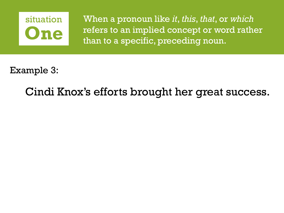

When a pronoun like *it*, *this*, *that*, or *which* refers to an implied concept or word rather than to a specific, preceding noun.

Example 3:

Cindi Knox's efforts brought her great success.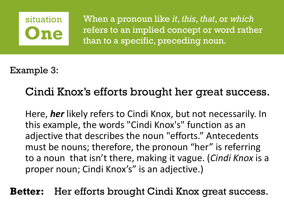

When a pronoun like *it*, *this*, *that*, or *which* refers to an implied concept or word rather than to a specific, preceding noun.

Example 3:

#### Cindi Knox's efforts brought her great success.

Here, *her* likely refers to Cindi Knox, but not necessarily. In this example, the words "Cindi Knox's" function as an adjective that describes the noun "efforts." Antecedents must be nouns; therefore, the pronoun "her" is referring to a noun that isn't there, making it vague. (*Cindi Knox* is a proper noun; Cindi Knox's" is an adjective.)

**Better:** Her efforts brought Cindi Knox great success.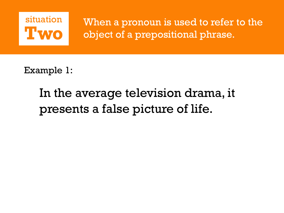

Example 1:

### In the average television drama, it presents a false picture of life.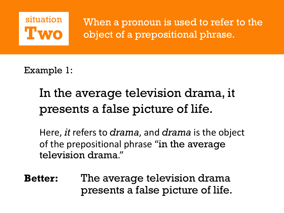

Example 1:

### In the average television drama, it presents a false picture of life.

Here, *it* refers to *drama*, and *drama* is the object of the prepositional phrase "in the average television drama."

**Better:** The average television drama presents a false picture of life.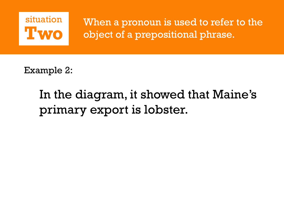

Example 2:

### In the diagram, it showed that Maine's primary export is lobster.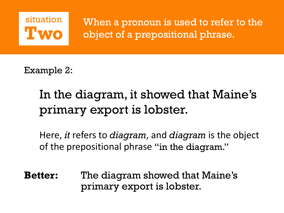

Example 2:

### In the diagram, it showed that Maine's primary export is lobster.

Here, *it* refers to *diagram*, and *diagram* is the object of the prepositional phrase "in the diagram."

**Better:** The diagram showed that Maine's primary export is lobster.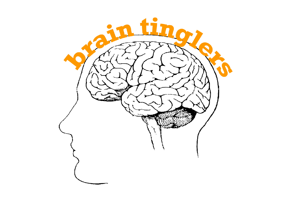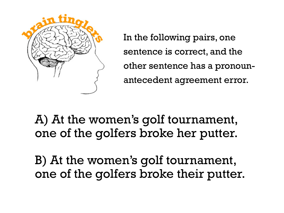

In the following pairs, one sentence is correct, and the other sentence has a pronounantecedent agreement error.

A) At the women's golf tournament, one of the golfers broke her putter.

B) At the women's golf tournament, one of the golfers broke their putter.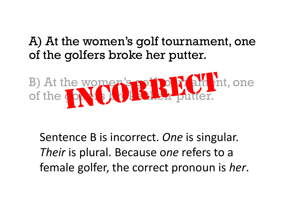### A) At the women's golf tournament, one of the golfers broke her putter.



Sentence B is incorrect. *One* is singular. *Their* is plural. Because o*ne* refers to a female golfer, the correct pronoun is *her*.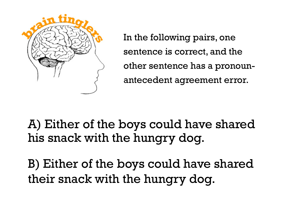

In the following pairs, one sentence is correct, and the other sentence has a pronounantecedent agreement error.

A) Either of the boys could have shared his snack with the hungry dog.

B) Either of the boys could have shared their snack with the hungry dog.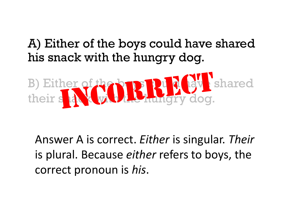### A) Either of the boys could have shared his snack with the hungry dog.



Answer A is correct. *Either* is singular. *Their* is plural. Because *either* refers to boys, the correct pronoun is *his*.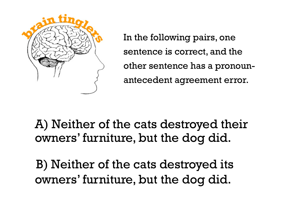

In the following pairs, one sentence is correct, and the other sentence has a pronounantecedent agreement error.

A) Neither of the cats destroyed their owners' furniture, but the dog did.

B) Neither of the cats destroyed its owners' furniture, but the dog did.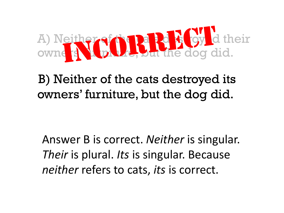

B) Neither of the cats destroyed its owners' furniture, but the dog did.

Answer B is correct. *Neither* is singular. *Their* is plural. *Its* is singular. Because *neither* refers to cats, *its* is correct.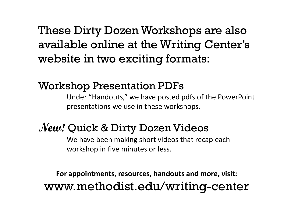These Dirty Dozen Workshops are also available online at the Writing Center's website in two exciting formats:

#### Workshop Presentation PDFs

Under "Handouts," we have posted pdfs of the PowerPoint presentations we use in these workshops.

### **New!** Quick & Dirty Dozen Videos

We have been making short videos that recap each workshop in five minutes or less.

**For appointments, resources, handouts and more, visit:** www.methodist.edu/writing-center